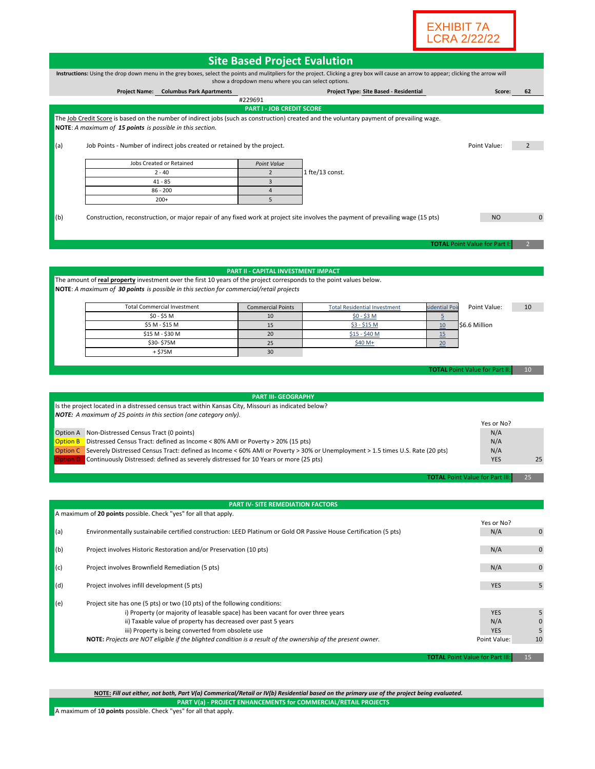

| Instructions: Using the drop down menu in the grey boxes, select the points and mulitpliers for the project. Clicking a grey box will cause an arrow to appear; clicking the arrow will<br>show a dropdown menu where you can select options.<br><b>Columbus Park Apartments</b><br>Project Type: Site Based - Residential<br>62<br><b>Project Name:</b><br>Score:<br>#229691<br><b>PART I - JOB CREDIT SCORE</b><br>The Job Credit Score is based on the number of indirect jobs (such as construction) created and the voluntary payment of prevailing wage.<br>NOTE: A maximum of 15 points is possible in this section.<br>(a)<br>Job Points - Number of indirect jobs created or retained by the project.<br>Point Value:<br>2<br>Jobs Created or Retained<br>Point Value<br>$\overline{2}$<br>1 fte/13 const.<br>$2 - 40$<br>$\overline{3}$<br>$41 - 85$<br>$\overline{4}$<br>$86 - 200$<br>$200+$<br>5<br>Construction, reconstruction, or major repair of any fixed work at project site involves the payment of prevailing wage (15 pts)<br>N <sub>O</sub><br>$\mathbf{0}$<br>(b)<br><b>TOTAL Point Value for Part I</b><br><b>PART II - CAPITAL INVESTMENT IMPACT</b><br>The amount of real property investment over the first 10 years of the project corresponds to the point values below.<br><b>NOTE:</b> A maximum of 30 points is possible in this section for commercial/retail projects<br><b>Total Commercial Investment</b><br>Point Value:<br><b>Commercial Points</b><br><b>Total Residential Investment</b><br>sidential Poi<br>10<br>$$0 - $5 M$<br>10<br><u>\$0 - \$3 M</u><br>$\overline{5}$<br>15<br>\$5 M - \$15 M<br>$$3 - $15M$<br>10<br>\$6.6 Million<br>20<br>\$15 M - \$30 M<br>$$15 - $40 M$<br>15<br>\$30-\$75M<br>25<br>\$40 M+<br>20<br>$+ $75M$<br>30<br><b>TOTAL Point Value for Part II</b><br>10<br><b>PART III- GEOGRAPHY</b><br>Is the project located in a distressed census tract within Kansas City, Missouri as indicated below?<br><b>NOTE:</b> A maximum of 25 points in this section (one category only).<br>Yes or No?<br>Option A Non-Distressed Census Tract (0 points)<br>N/A<br><b>Option B</b><br>Distressed Census Tract: defined as Income < 80% AMI or Poverty > 20% (15 pts)<br>N/A<br>Option C Severely Distressed Census Tract: defined as Income < 60% AMI or Poverty > 30% or Unemployment > 1.5 times U.S. Rate (20 pts)<br>N/A<br>Continuously Distressed: defined as severely distressed for 10 Years or more (25 pts)<br><b>YES</b><br>25<br>ption D<br>25<br><b>TOTAL Point Value for Part III:</b><br><b>PART IV- SITE REMEDIATION FACTORS</b><br>A maximum of 20 points possible. Check "yes" for all that apply.<br>Yes or No?<br>Environmentally sustainabile certified construction: LEED Platinum or Gold OR Passive House Certification (5 pts)<br>N/A<br>$\mathbf 0$<br>Project involves Historic Restoration and/or Preservation (10 pts)<br>N/A<br>0<br>N/A<br>Project involves Brownfield Remediation (5 pts)<br>$\pmb{0}$<br>(d)<br>5<br>Project involves infill development (5 pts)<br><b>YES</b><br>(e)<br>Project site has one (5 pts) or two (10 pts) of the following conditions:<br>i) Property (or majority of leasable space) has been vacant for over three years<br>5<br><b>YES</b><br>ii) Taxable value of property has decreased over past 5 years<br>N/A<br>$\mathbf 0$<br>iii) Property is being converted from obsolete use<br><b>YES</b><br>5<br>NOTE: Projects are NOT eligible if the blighted condition is a result of the ownership of the present owner.<br>10<br>Point Value:<br><b>TOTAL Point Value for Part III:</b><br>15 | <b>Site Based Project Evalution</b> |  |  |  |  |  |  |  |
|--------------------------------------------------------------------------------------------------------------------------------------------------------------------------------------------------------------------------------------------------------------------------------------------------------------------------------------------------------------------------------------------------------------------------------------------------------------------------------------------------------------------------------------------------------------------------------------------------------------------------------------------------------------------------------------------------------------------------------------------------------------------------------------------------------------------------------------------------------------------------------------------------------------------------------------------------------------------------------------------------------------------------------------------------------------------------------------------------------------------------------------------------------------------------------------------------------------------------------------------------------------------------------------------------------------------------------------------------------------------------------------------------------------------------------------------------------------------------------------------------------------------------------------------------------------------------------------------------------------------------------------------------------------------------------------------------------------------------------------------------------------------------------------------------------------------------------------------------------------------------------------------------------------------------------------------------------------------------------------------------------------------------------------------------------------------------------------------------------------------------------------------------------------------------------------------------------------------------------------------------------------------------------------------------------------------------------------------------------------------------------------------------------------------------------------------------------------------------------------------------------------------------------------------------------------------------------------------------------------------------------------------------------------------------------------------------------------------------------------------------------------------------------------------------------------------------------------------------------------------------------------------------------------------------------------------------------------------------------------------------------------------------------------------------------------------------------------------------------------------------------------------------------------------------------------------------------------------------------------------------------------------------------------------------------------------------------------------------------------------------------------------------------------------------------------------------------------------------------------------------------------------------------------------------------------------------------------------------------------------------------------|-------------------------------------|--|--|--|--|--|--|--|
|                                                                                                                                                                                                                                                                                                                                                                                                                                                                                                                                                                                                                                                                                                                                                                                                                                                                                                                                                                                                                                                                                                                                                                                                                                                                                                                                                                                                                                                                                                                                                                                                                                                                                                                                                                                                                                                                                                                                                                                                                                                                                                                                                                                                                                                                                                                                                                                                                                                                                                                                                                                                                                                                                                                                                                                                                                                                                                                                                                                                                                                                                                                                                                                                                                                                                                                                                                                                                                                                                                                                                                                                                                      |                                     |  |  |  |  |  |  |  |
|                                                                                                                                                                                                                                                                                                                                                                                                                                                                                                                                                                                                                                                                                                                                                                                                                                                                                                                                                                                                                                                                                                                                                                                                                                                                                                                                                                                                                                                                                                                                                                                                                                                                                                                                                                                                                                                                                                                                                                                                                                                                                                                                                                                                                                                                                                                                                                                                                                                                                                                                                                                                                                                                                                                                                                                                                                                                                                                                                                                                                                                                                                                                                                                                                                                                                                                                                                                                                                                                                                                                                                                                                                      |                                     |  |  |  |  |  |  |  |
|                                                                                                                                                                                                                                                                                                                                                                                                                                                                                                                                                                                                                                                                                                                                                                                                                                                                                                                                                                                                                                                                                                                                                                                                                                                                                                                                                                                                                                                                                                                                                                                                                                                                                                                                                                                                                                                                                                                                                                                                                                                                                                                                                                                                                                                                                                                                                                                                                                                                                                                                                                                                                                                                                                                                                                                                                                                                                                                                                                                                                                                                                                                                                                                                                                                                                                                                                                                                                                                                                                                                                                                                                                      |                                     |  |  |  |  |  |  |  |
|                                                                                                                                                                                                                                                                                                                                                                                                                                                                                                                                                                                                                                                                                                                                                                                                                                                                                                                                                                                                                                                                                                                                                                                                                                                                                                                                                                                                                                                                                                                                                                                                                                                                                                                                                                                                                                                                                                                                                                                                                                                                                                                                                                                                                                                                                                                                                                                                                                                                                                                                                                                                                                                                                                                                                                                                                                                                                                                                                                                                                                                                                                                                                                                                                                                                                                                                                                                                                                                                                                                                                                                                                                      |                                     |  |  |  |  |  |  |  |
|                                                                                                                                                                                                                                                                                                                                                                                                                                                                                                                                                                                                                                                                                                                                                                                                                                                                                                                                                                                                                                                                                                                                                                                                                                                                                                                                                                                                                                                                                                                                                                                                                                                                                                                                                                                                                                                                                                                                                                                                                                                                                                                                                                                                                                                                                                                                                                                                                                                                                                                                                                                                                                                                                                                                                                                                                                                                                                                                                                                                                                                                                                                                                                                                                                                                                                                                                                                                                                                                                                                                                                                                                                      |                                     |  |  |  |  |  |  |  |
|                                                                                                                                                                                                                                                                                                                                                                                                                                                                                                                                                                                                                                                                                                                                                                                                                                                                                                                                                                                                                                                                                                                                                                                                                                                                                                                                                                                                                                                                                                                                                                                                                                                                                                                                                                                                                                                                                                                                                                                                                                                                                                                                                                                                                                                                                                                                                                                                                                                                                                                                                                                                                                                                                                                                                                                                                                                                                                                                                                                                                                                                                                                                                                                                                                                                                                                                                                                                                                                                                                                                                                                                                                      |                                     |  |  |  |  |  |  |  |
|                                                                                                                                                                                                                                                                                                                                                                                                                                                                                                                                                                                                                                                                                                                                                                                                                                                                                                                                                                                                                                                                                                                                                                                                                                                                                                                                                                                                                                                                                                                                                                                                                                                                                                                                                                                                                                                                                                                                                                                                                                                                                                                                                                                                                                                                                                                                                                                                                                                                                                                                                                                                                                                                                                                                                                                                                                                                                                                                                                                                                                                                                                                                                                                                                                                                                                                                                                                                                                                                                                                                                                                                                                      |                                     |  |  |  |  |  |  |  |
|                                                                                                                                                                                                                                                                                                                                                                                                                                                                                                                                                                                                                                                                                                                                                                                                                                                                                                                                                                                                                                                                                                                                                                                                                                                                                                                                                                                                                                                                                                                                                                                                                                                                                                                                                                                                                                                                                                                                                                                                                                                                                                                                                                                                                                                                                                                                                                                                                                                                                                                                                                                                                                                                                                                                                                                                                                                                                                                                                                                                                                                                                                                                                                                                                                                                                                                                                                                                                                                                                                                                                                                                                                      |                                     |  |  |  |  |  |  |  |
|                                                                                                                                                                                                                                                                                                                                                                                                                                                                                                                                                                                                                                                                                                                                                                                                                                                                                                                                                                                                                                                                                                                                                                                                                                                                                                                                                                                                                                                                                                                                                                                                                                                                                                                                                                                                                                                                                                                                                                                                                                                                                                                                                                                                                                                                                                                                                                                                                                                                                                                                                                                                                                                                                                                                                                                                                                                                                                                                                                                                                                                                                                                                                                                                                                                                                                                                                                                                                                                                                                                                                                                                                                      |                                     |  |  |  |  |  |  |  |
|                                                                                                                                                                                                                                                                                                                                                                                                                                                                                                                                                                                                                                                                                                                                                                                                                                                                                                                                                                                                                                                                                                                                                                                                                                                                                                                                                                                                                                                                                                                                                                                                                                                                                                                                                                                                                                                                                                                                                                                                                                                                                                                                                                                                                                                                                                                                                                                                                                                                                                                                                                                                                                                                                                                                                                                                                                                                                                                                                                                                                                                                                                                                                                                                                                                                                                                                                                                                                                                                                                                                                                                                                                      |                                     |  |  |  |  |  |  |  |
|                                                                                                                                                                                                                                                                                                                                                                                                                                                                                                                                                                                                                                                                                                                                                                                                                                                                                                                                                                                                                                                                                                                                                                                                                                                                                                                                                                                                                                                                                                                                                                                                                                                                                                                                                                                                                                                                                                                                                                                                                                                                                                                                                                                                                                                                                                                                                                                                                                                                                                                                                                                                                                                                                                                                                                                                                                                                                                                                                                                                                                                                                                                                                                                                                                                                                                                                                                                                                                                                                                                                                                                                                                      |                                     |  |  |  |  |  |  |  |
|                                                                                                                                                                                                                                                                                                                                                                                                                                                                                                                                                                                                                                                                                                                                                                                                                                                                                                                                                                                                                                                                                                                                                                                                                                                                                                                                                                                                                                                                                                                                                                                                                                                                                                                                                                                                                                                                                                                                                                                                                                                                                                                                                                                                                                                                                                                                                                                                                                                                                                                                                                                                                                                                                                                                                                                                                                                                                                                                                                                                                                                                                                                                                                                                                                                                                                                                                                                                                                                                                                                                                                                                                                      |                                     |  |  |  |  |  |  |  |
|                                                                                                                                                                                                                                                                                                                                                                                                                                                                                                                                                                                                                                                                                                                                                                                                                                                                                                                                                                                                                                                                                                                                                                                                                                                                                                                                                                                                                                                                                                                                                                                                                                                                                                                                                                                                                                                                                                                                                                                                                                                                                                                                                                                                                                                                                                                                                                                                                                                                                                                                                                                                                                                                                                                                                                                                                                                                                                                                                                                                                                                                                                                                                                                                                                                                                                                                                                                                                                                                                                                                                                                                                                      |                                     |  |  |  |  |  |  |  |
|                                                                                                                                                                                                                                                                                                                                                                                                                                                                                                                                                                                                                                                                                                                                                                                                                                                                                                                                                                                                                                                                                                                                                                                                                                                                                                                                                                                                                                                                                                                                                                                                                                                                                                                                                                                                                                                                                                                                                                                                                                                                                                                                                                                                                                                                                                                                                                                                                                                                                                                                                                                                                                                                                                                                                                                                                                                                                                                                                                                                                                                                                                                                                                                                                                                                                                                                                                                                                                                                                                                                                                                                                                      |                                     |  |  |  |  |  |  |  |
|                                                                                                                                                                                                                                                                                                                                                                                                                                                                                                                                                                                                                                                                                                                                                                                                                                                                                                                                                                                                                                                                                                                                                                                                                                                                                                                                                                                                                                                                                                                                                                                                                                                                                                                                                                                                                                                                                                                                                                                                                                                                                                                                                                                                                                                                                                                                                                                                                                                                                                                                                                                                                                                                                                                                                                                                                                                                                                                                                                                                                                                                                                                                                                                                                                                                                                                                                                                                                                                                                                                                                                                                                                      |                                     |  |  |  |  |  |  |  |
|                                                                                                                                                                                                                                                                                                                                                                                                                                                                                                                                                                                                                                                                                                                                                                                                                                                                                                                                                                                                                                                                                                                                                                                                                                                                                                                                                                                                                                                                                                                                                                                                                                                                                                                                                                                                                                                                                                                                                                                                                                                                                                                                                                                                                                                                                                                                                                                                                                                                                                                                                                                                                                                                                                                                                                                                                                                                                                                                                                                                                                                                                                                                                                                                                                                                                                                                                                                                                                                                                                                                                                                                                                      |                                     |  |  |  |  |  |  |  |
|                                                                                                                                                                                                                                                                                                                                                                                                                                                                                                                                                                                                                                                                                                                                                                                                                                                                                                                                                                                                                                                                                                                                                                                                                                                                                                                                                                                                                                                                                                                                                                                                                                                                                                                                                                                                                                                                                                                                                                                                                                                                                                                                                                                                                                                                                                                                                                                                                                                                                                                                                                                                                                                                                                                                                                                                                                                                                                                                                                                                                                                                                                                                                                                                                                                                                                                                                                                                                                                                                                                                                                                                                                      |                                     |  |  |  |  |  |  |  |
|                                                                                                                                                                                                                                                                                                                                                                                                                                                                                                                                                                                                                                                                                                                                                                                                                                                                                                                                                                                                                                                                                                                                                                                                                                                                                                                                                                                                                                                                                                                                                                                                                                                                                                                                                                                                                                                                                                                                                                                                                                                                                                                                                                                                                                                                                                                                                                                                                                                                                                                                                                                                                                                                                                                                                                                                                                                                                                                                                                                                                                                                                                                                                                                                                                                                                                                                                                                                                                                                                                                                                                                                                                      |                                     |  |  |  |  |  |  |  |
|                                                                                                                                                                                                                                                                                                                                                                                                                                                                                                                                                                                                                                                                                                                                                                                                                                                                                                                                                                                                                                                                                                                                                                                                                                                                                                                                                                                                                                                                                                                                                                                                                                                                                                                                                                                                                                                                                                                                                                                                                                                                                                                                                                                                                                                                                                                                                                                                                                                                                                                                                                                                                                                                                                                                                                                                                                                                                                                                                                                                                                                                                                                                                                                                                                                                                                                                                                                                                                                                                                                                                                                                                                      |                                     |  |  |  |  |  |  |  |
|                                                                                                                                                                                                                                                                                                                                                                                                                                                                                                                                                                                                                                                                                                                                                                                                                                                                                                                                                                                                                                                                                                                                                                                                                                                                                                                                                                                                                                                                                                                                                                                                                                                                                                                                                                                                                                                                                                                                                                                                                                                                                                                                                                                                                                                                                                                                                                                                                                                                                                                                                                                                                                                                                                                                                                                                                                                                                                                                                                                                                                                                                                                                                                                                                                                                                                                                                                                                                                                                                                                                                                                                                                      |                                     |  |  |  |  |  |  |  |
|                                                                                                                                                                                                                                                                                                                                                                                                                                                                                                                                                                                                                                                                                                                                                                                                                                                                                                                                                                                                                                                                                                                                                                                                                                                                                                                                                                                                                                                                                                                                                                                                                                                                                                                                                                                                                                                                                                                                                                                                                                                                                                                                                                                                                                                                                                                                                                                                                                                                                                                                                                                                                                                                                                                                                                                                                                                                                                                                                                                                                                                                                                                                                                                                                                                                                                                                                                                                                                                                                                                                                                                                                                      |                                     |  |  |  |  |  |  |  |
|                                                                                                                                                                                                                                                                                                                                                                                                                                                                                                                                                                                                                                                                                                                                                                                                                                                                                                                                                                                                                                                                                                                                                                                                                                                                                                                                                                                                                                                                                                                                                                                                                                                                                                                                                                                                                                                                                                                                                                                                                                                                                                                                                                                                                                                                                                                                                                                                                                                                                                                                                                                                                                                                                                                                                                                                                                                                                                                                                                                                                                                                                                                                                                                                                                                                                                                                                                                                                                                                                                                                                                                                                                      |                                     |  |  |  |  |  |  |  |
|                                                                                                                                                                                                                                                                                                                                                                                                                                                                                                                                                                                                                                                                                                                                                                                                                                                                                                                                                                                                                                                                                                                                                                                                                                                                                                                                                                                                                                                                                                                                                                                                                                                                                                                                                                                                                                                                                                                                                                                                                                                                                                                                                                                                                                                                                                                                                                                                                                                                                                                                                                                                                                                                                                                                                                                                                                                                                                                                                                                                                                                                                                                                                                                                                                                                                                                                                                                                                                                                                                                                                                                                                                      |                                     |  |  |  |  |  |  |  |
|                                                                                                                                                                                                                                                                                                                                                                                                                                                                                                                                                                                                                                                                                                                                                                                                                                                                                                                                                                                                                                                                                                                                                                                                                                                                                                                                                                                                                                                                                                                                                                                                                                                                                                                                                                                                                                                                                                                                                                                                                                                                                                                                                                                                                                                                                                                                                                                                                                                                                                                                                                                                                                                                                                                                                                                                                                                                                                                                                                                                                                                                                                                                                                                                                                                                                                                                                                                                                                                                                                                                                                                                                                      |                                     |  |  |  |  |  |  |  |
|                                                                                                                                                                                                                                                                                                                                                                                                                                                                                                                                                                                                                                                                                                                                                                                                                                                                                                                                                                                                                                                                                                                                                                                                                                                                                                                                                                                                                                                                                                                                                                                                                                                                                                                                                                                                                                                                                                                                                                                                                                                                                                                                                                                                                                                                                                                                                                                                                                                                                                                                                                                                                                                                                                                                                                                                                                                                                                                                                                                                                                                                                                                                                                                                                                                                                                                                                                                                                                                                                                                                                                                                                                      |                                     |  |  |  |  |  |  |  |
|                                                                                                                                                                                                                                                                                                                                                                                                                                                                                                                                                                                                                                                                                                                                                                                                                                                                                                                                                                                                                                                                                                                                                                                                                                                                                                                                                                                                                                                                                                                                                                                                                                                                                                                                                                                                                                                                                                                                                                                                                                                                                                                                                                                                                                                                                                                                                                                                                                                                                                                                                                                                                                                                                                                                                                                                                                                                                                                                                                                                                                                                                                                                                                                                                                                                                                                                                                                                                                                                                                                                                                                                                                      |                                     |  |  |  |  |  |  |  |
|                                                                                                                                                                                                                                                                                                                                                                                                                                                                                                                                                                                                                                                                                                                                                                                                                                                                                                                                                                                                                                                                                                                                                                                                                                                                                                                                                                                                                                                                                                                                                                                                                                                                                                                                                                                                                                                                                                                                                                                                                                                                                                                                                                                                                                                                                                                                                                                                                                                                                                                                                                                                                                                                                                                                                                                                                                                                                                                                                                                                                                                                                                                                                                                                                                                                                                                                                                                                                                                                                                                                                                                                                                      |                                     |  |  |  |  |  |  |  |
|                                                                                                                                                                                                                                                                                                                                                                                                                                                                                                                                                                                                                                                                                                                                                                                                                                                                                                                                                                                                                                                                                                                                                                                                                                                                                                                                                                                                                                                                                                                                                                                                                                                                                                                                                                                                                                                                                                                                                                                                                                                                                                                                                                                                                                                                                                                                                                                                                                                                                                                                                                                                                                                                                                                                                                                                                                                                                                                                                                                                                                                                                                                                                                                                                                                                                                                                                                                                                                                                                                                                                                                                                                      |                                     |  |  |  |  |  |  |  |
|                                                                                                                                                                                                                                                                                                                                                                                                                                                                                                                                                                                                                                                                                                                                                                                                                                                                                                                                                                                                                                                                                                                                                                                                                                                                                                                                                                                                                                                                                                                                                                                                                                                                                                                                                                                                                                                                                                                                                                                                                                                                                                                                                                                                                                                                                                                                                                                                                                                                                                                                                                                                                                                                                                                                                                                                                                                                                                                                                                                                                                                                                                                                                                                                                                                                                                                                                                                                                                                                                                                                                                                                                                      |                                     |  |  |  |  |  |  |  |
|                                                                                                                                                                                                                                                                                                                                                                                                                                                                                                                                                                                                                                                                                                                                                                                                                                                                                                                                                                                                                                                                                                                                                                                                                                                                                                                                                                                                                                                                                                                                                                                                                                                                                                                                                                                                                                                                                                                                                                                                                                                                                                                                                                                                                                                                                                                                                                                                                                                                                                                                                                                                                                                                                                                                                                                                                                                                                                                                                                                                                                                                                                                                                                                                                                                                                                                                                                                                                                                                                                                                                                                                                                      |                                     |  |  |  |  |  |  |  |
|                                                                                                                                                                                                                                                                                                                                                                                                                                                                                                                                                                                                                                                                                                                                                                                                                                                                                                                                                                                                                                                                                                                                                                                                                                                                                                                                                                                                                                                                                                                                                                                                                                                                                                                                                                                                                                                                                                                                                                                                                                                                                                                                                                                                                                                                                                                                                                                                                                                                                                                                                                                                                                                                                                                                                                                                                                                                                                                                                                                                                                                                                                                                                                                                                                                                                                                                                                                                                                                                                                                                                                                                                                      |                                     |  |  |  |  |  |  |  |
|                                                                                                                                                                                                                                                                                                                                                                                                                                                                                                                                                                                                                                                                                                                                                                                                                                                                                                                                                                                                                                                                                                                                                                                                                                                                                                                                                                                                                                                                                                                                                                                                                                                                                                                                                                                                                                                                                                                                                                                                                                                                                                                                                                                                                                                                                                                                                                                                                                                                                                                                                                                                                                                                                                                                                                                                                                                                                                                                                                                                                                                                                                                                                                                                                                                                                                                                                                                                                                                                                                                                                                                                                                      |                                     |  |  |  |  |  |  |  |
|                                                                                                                                                                                                                                                                                                                                                                                                                                                                                                                                                                                                                                                                                                                                                                                                                                                                                                                                                                                                                                                                                                                                                                                                                                                                                                                                                                                                                                                                                                                                                                                                                                                                                                                                                                                                                                                                                                                                                                                                                                                                                                                                                                                                                                                                                                                                                                                                                                                                                                                                                                                                                                                                                                                                                                                                                                                                                                                                                                                                                                                                                                                                                                                                                                                                                                                                                                                                                                                                                                                                                                                                                                      |                                     |  |  |  |  |  |  |  |
|                                                                                                                                                                                                                                                                                                                                                                                                                                                                                                                                                                                                                                                                                                                                                                                                                                                                                                                                                                                                                                                                                                                                                                                                                                                                                                                                                                                                                                                                                                                                                                                                                                                                                                                                                                                                                                                                                                                                                                                                                                                                                                                                                                                                                                                                                                                                                                                                                                                                                                                                                                                                                                                                                                                                                                                                                                                                                                                                                                                                                                                                                                                                                                                                                                                                                                                                                                                                                                                                                                                                                                                                                                      |                                     |  |  |  |  |  |  |  |
|                                                                                                                                                                                                                                                                                                                                                                                                                                                                                                                                                                                                                                                                                                                                                                                                                                                                                                                                                                                                                                                                                                                                                                                                                                                                                                                                                                                                                                                                                                                                                                                                                                                                                                                                                                                                                                                                                                                                                                                                                                                                                                                                                                                                                                                                                                                                                                                                                                                                                                                                                                                                                                                                                                                                                                                                                                                                                                                                                                                                                                                                                                                                                                                                                                                                                                                                                                                                                                                                                                                                                                                                                                      |                                     |  |  |  |  |  |  |  |
|                                                                                                                                                                                                                                                                                                                                                                                                                                                                                                                                                                                                                                                                                                                                                                                                                                                                                                                                                                                                                                                                                                                                                                                                                                                                                                                                                                                                                                                                                                                                                                                                                                                                                                                                                                                                                                                                                                                                                                                                                                                                                                                                                                                                                                                                                                                                                                                                                                                                                                                                                                                                                                                                                                                                                                                                                                                                                                                                                                                                                                                                                                                                                                                                                                                                                                                                                                                                                                                                                                                                                                                                                                      | (a)                                 |  |  |  |  |  |  |  |
|                                                                                                                                                                                                                                                                                                                                                                                                                                                                                                                                                                                                                                                                                                                                                                                                                                                                                                                                                                                                                                                                                                                                                                                                                                                                                                                                                                                                                                                                                                                                                                                                                                                                                                                                                                                                                                                                                                                                                                                                                                                                                                                                                                                                                                                                                                                                                                                                                                                                                                                                                                                                                                                                                                                                                                                                                                                                                                                                                                                                                                                                                                                                                                                                                                                                                                                                                                                                                                                                                                                                                                                                                                      | (b)                                 |  |  |  |  |  |  |  |
|                                                                                                                                                                                                                                                                                                                                                                                                                                                                                                                                                                                                                                                                                                                                                                                                                                                                                                                                                                                                                                                                                                                                                                                                                                                                                                                                                                                                                                                                                                                                                                                                                                                                                                                                                                                                                                                                                                                                                                                                                                                                                                                                                                                                                                                                                                                                                                                                                                                                                                                                                                                                                                                                                                                                                                                                                                                                                                                                                                                                                                                                                                                                                                                                                                                                                                                                                                                                                                                                                                                                                                                                                                      | (c)                                 |  |  |  |  |  |  |  |
|                                                                                                                                                                                                                                                                                                                                                                                                                                                                                                                                                                                                                                                                                                                                                                                                                                                                                                                                                                                                                                                                                                                                                                                                                                                                                                                                                                                                                                                                                                                                                                                                                                                                                                                                                                                                                                                                                                                                                                                                                                                                                                                                                                                                                                                                                                                                                                                                                                                                                                                                                                                                                                                                                                                                                                                                                                                                                                                                                                                                                                                                                                                                                                                                                                                                                                                                                                                                                                                                                                                                                                                                                                      |                                     |  |  |  |  |  |  |  |
|                                                                                                                                                                                                                                                                                                                                                                                                                                                                                                                                                                                                                                                                                                                                                                                                                                                                                                                                                                                                                                                                                                                                                                                                                                                                                                                                                                                                                                                                                                                                                                                                                                                                                                                                                                                                                                                                                                                                                                                                                                                                                                                                                                                                                                                                                                                                                                                                                                                                                                                                                                                                                                                                                                                                                                                                                                                                                                                                                                                                                                                                                                                                                                                                                                                                                                                                                                                                                                                                                                                                                                                                                                      |                                     |  |  |  |  |  |  |  |
|                                                                                                                                                                                                                                                                                                                                                                                                                                                                                                                                                                                                                                                                                                                                                                                                                                                                                                                                                                                                                                                                                                                                                                                                                                                                                                                                                                                                                                                                                                                                                                                                                                                                                                                                                                                                                                                                                                                                                                                                                                                                                                                                                                                                                                                                                                                                                                                                                                                                                                                                                                                                                                                                                                                                                                                                                                                                                                                                                                                                                                                                                                                                                                                                                                                                                                                                                                                                                                                                                                                                                                                                                                      |                                     |  |  |  |  |  |  |  |
|                                                                                                                                                                                                                                                                                                                                                                                                                                                                                                                                                                                                                                                                                                                                                                                                                                                                                                                                                                                                                                                                                                                                                                                                                                                                                                                                                                                                                                                                                                                                                                                                                                                                                                                                                                                                                                                                                                                                                                                                                                                                                                                                                                                                                                                                                                                                                                                                                                                                                                                                                                                                                                                                                                                                                                                                                                                                                                                                                                                                                                                                                                                                                                                                                                                                                                                                                                                                                                                                                                                                                                                                                                      |                                     |  |  |  |  |  |  |  |
|                                                                                                                                                                                                                                                                                                                                                                                                                                                                                                                                                                                                                                                                                                                                                                                                                                                                                                                                                                                                                                                                                                                                                                                                                                                                                                                                                                                                                                                                                                                                                                                                                                                                                                                                                                                                                                                                                                                                                                                                                                                                                                                                                                                                                                                                                                                                                                                                                                                                                                                                                                                                                                                                                                                                                                                                                                                                                                                                                                                                                                                                                                                                                                                                                                                                                                                                                                                                                                                                                                                                                                                                                                      |                                     |  |  |  |  |  |  |  |
|                                                                                                                                                                                                                                                                                                                                                                                                                                                                                                                                                                                                                                                                                                                                                                                                                                                                                                                                                                                                                                                                                                                                                                                                                                                                                                                                                                                                                                                                                                                                                                                                                                                                                                                                                                                                                                                                                                                                                                                                                                                                                                                                                                                                                                                                                                                                                                                                                                                                                                                                                                                                                                                                                                                                                                                                                                                                                                                                                                                                                                                                                                                                                                                                                                                                                                                                                                                                                                                                                                                                                                                                                                      |                                     |  |  |  |  |  |  |  |
|                                                                                                                                                                                                                                                                                                                                                                                                                                                                                                                                                                                                                                                                                                                                                                                                                                                                                                                                                                                                                                                                                                                                                                                                                                                                                                                                                                                                                                                                                                                                                                                                                                                                                                                                                                                                                                                                                                                                                                                                                                                                                                                                                                                                                                                                                                                                                                                                                                                                                                                                                                                                                                                                                                                                                                                                                                                                                                                                                                                                                                                                                                                                                                                                                                                                                                                                                                                                                                                                                                                                                                                                                                      |                                     |  |  |  |  |  |  |  |

**PART V(a) - PROJECT ENHANCEMENTS for COMMERCIAL/RETAIL PROJECTS NOTE:** *Fill out either, not both, Part V(a) Commerical/Retail or IV(b) Residential based on the primary use of the project being evaluated.*

A maximum of 1**0 points** possible. Check "yes" for all that apply.